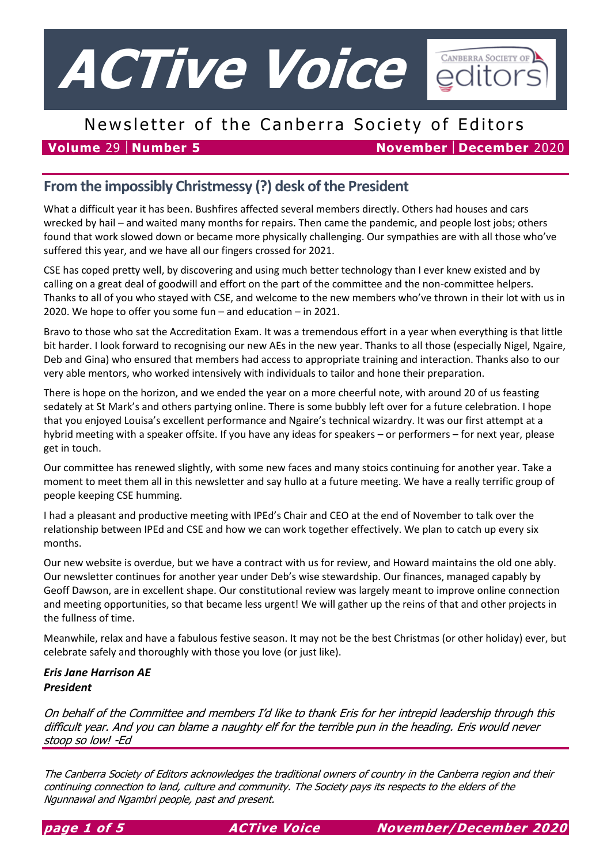

# Newsletter of the Canberra Society of Editors

**Volume** 29 **Number 5 November December** 2020

## **From the impossibly Christmessy (?) desk of the President**

What a difficult year it has been. Bushfires affected several members directly. Others had houses and cars wrecked by hail – and waited many months for repairs. Then came the pandemic, and people lost jobs; others found that work slowed down or became more physically challenging. Our sympathies are with all those who've suffered this year, and we have all our fingers crossed for 2021.

CSE has coped pretty well, by discovering and using much better technology than I ever knew existed and by calling on a great deal of goodwill and effort on the part of the committee and the non-committee helpers. Thanks to all of you who stayed with CSE, and welcome to the new members who've thrown in their lot with us in 2020. We hope to offer you some fun – and education – in 2021.

Bravo to those who sat the Accreditation Exam. It was a tremendous effort in a year when everything is that little bit harder. I look forward to recognising our new AEs in the new year. Thanks to all those (especially Nigel, Ngaire, Deb and Gina) who ensured that members had access to appropriate training and interaction. Thanks also to our very able mentors, who worked intensively with individuals to tailor and hone their preparation.

There is hope on the horizon, and we ended the year on a more cheerful note, with around 20 of us feasting sedately at St Mark's and others partying online. There is some bubbly left over for a future celebration. I hope that you enjoyed Louisa's excellent performance and Ngaire's technical wizardry. It was our first attempt at a hybrid meeting with a speaker offsite. If you have any ideas for speakers – or performers – for next year, please get in touch.

Our committee has renewed slightly, with some new faces and many stoics continuing for another year. Take a moment to meet them all in this newsletter and say hullo at a future meeting. We have a really terrific group of people keeping CSE humming.

I had a pleasant and productive meeting with IPEd's Chair and CEO at the end of November to talk over the relationship between IPEd and CSE and how we can work together effectively. We plan to catch up every six months.

Our new website is overdue, but we have a contract with us for review, and Howard maintains the old one ably. Our newsletter continues for another year under Deb's wise stewardship. Our finances, managed capably by Geoff Dawson, are in excellent shape. Our constitutional review was largely meant to improve online connection and meeting opportunities, so that became less urgent! We will gather up the reins of that and other projects in the fullness of time.

Meanwhile, relax and have a fabulous festive season. It may not be the best Christmas (or other holiday) ever, but celebrate safely and thoroughly with those you love (or just like).

### *Eris Jane Harrison AE President*

On behalf of the Committee and members I'd like to thank Eris for her intrepid leadership through this difficult year. And you can blame a naughty elf for the terrible pun in the heading. Eris would never stoop so low! -Ed

The Canberra Society of Editors acknowledges the traditional owners of country in the Canberra region and their continuing connection to land, culture and community. The Society pays its respects to the elders of the Ngunnawal and Ngambri people, past and present.

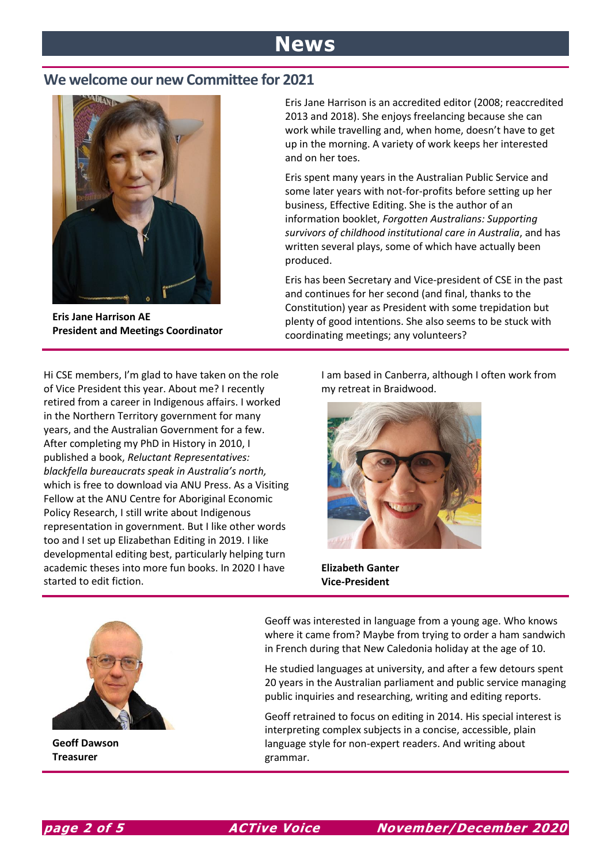# **News**

### **We welcome our new Committee for 2021**



**Eris Jane Harrison AE President and Meetings Coordinator**

Eris Jane Harrison is an accredited editor (2008; reaccredited 2013 and 2018). She enjoys freelancing because she can work while travelling and, when home, doesn't have to get up in the morning. A variety of work keeps her interested and on her toes.

Eris spent many years in the Australian Public Service and some later years with not-for-profits before setting up her business, Effective Editing. She is the author of an information booklet, *Forgotten Australians: Supporting survivors of childhood institutional care in Australia*, and has written several plays, some of which have actually been produced.

Eris has been Secretary and Vice-president of CSE in the past and continues for her second (and final, thanks to the Constitution) year as President with some trepidation but plenty of good intentions. She also seems to be stuck with coordinating meetings; any volunteers?

Hi CSE members, I'm glad to have taken on the role of Vice President this year. About me? I recently retired from a career in Indigenous affairs. I worked in the Northern Territory government for many years, and the Australian Government for a few. After completing my PhD in History in 2010, I published a book, *Reluctant Representatives: blackfella bureaucrats speak in Australia's north,*  which is free to download via ANU Press. As a Visiting Fellow at the ANU Centre for Aboriginal Economic Policy Research, I still write about Indigenous representation in government. But I like other words too and I set up Elizabethan Editing in 2019. I like developmental editing best, particularly helping turn academic theses into more fun books. In 2020 I have started to edit fiction.

I am based in Canberra, although I often work from my retreat in Braidwood.



**Elizabeth Ganter Vice-President** 



**Geoff Dawson Treasurer**

Geoff was interested in language from a young age. Who knows where it came from? Maybe from trying to order a ham sandwich in French during that New Caledonia holiday at the age of 10.

He studied languages at university, and after a few detours spent 20 years in the Australian parliament and public service managing public inquiries and researching, writing and editing reports.

Geoff retrained to focus on editing in 2014. His special interest is interpreting complex subjects in a concise, accessible, plain language style for non-expert readers. And writing about grammar.

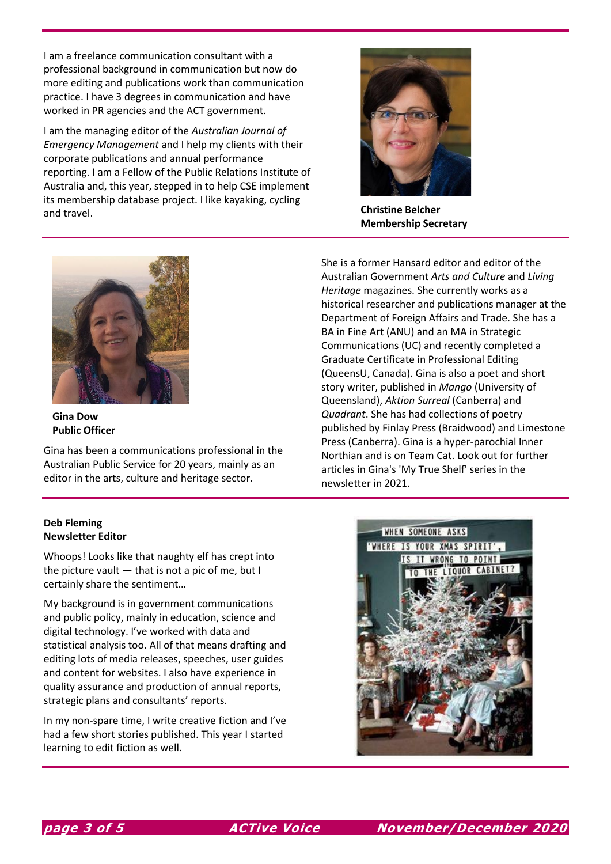I am a freelance communication consultant with a professional background in communication but now do more editing and publications work than communication practice. I have 3 degrees in communication and have worked in PR agencies and the ACT government.

I am the managing editor of the *Australian Journal of Emergency Management* and I help my clients with their corporate publications and annual performance reporting. I am a Fellow of the Public Relations Institute of Australia and, this year, stepped in to help CSE implement its membership database project. I like kayaking, cycling and travel. **Christine Belcher**



**Membership Secretary**



**Gina Dow Public Officer**

Gina has been a communications professional in the Australian Public Service for 20 years, mainly as an editor in the arts, culture and heritage sector.

She is a former Hansard editor and editor of the Australian Government *Arts and Culture* and *Living Heritage* magazines. She currently works as a historical researcher and publications manager at the Department of Foreign Affairs and Trade. She has a BA in Fine Art (ANU) and an MA in Strategic Communications (UC) and recently completed a Graduate Certificate in Professional Editing (QueensU, Canada). Gina is also a poet and short story writer, published in *Mango* (University of Queensland), *Aktion Surreal* (Canberra) and *Quadrant*. She has had collections of poetry published by Finlay Press (Braidwood) and Limestone Press (Canberra). Gina is a hyper-parochial Inner Northian and is on Team Cat. Look out for further articles in Gina's 'My True Shelf' series in the newsletter in 2021.

### **Deb Fleming Newsletter Editor**

Whoops! Looks like that naughty elf has crept into the picture vault — that is not a pic of me, but I certainly share the sentiment…

My background is in government communications and public policy, mainly in education, science and digital technology. I've worked with data and statistical analysis too. All of that means drafting and editing lots of media releases, speeches, user guides and content for websites. I also have experience in quality assurance and production of annual reports, strategic plans and consultants' reports.

In my non-spare time, I write creative fiction and I've had a few short stories published. This year I started learning to edit fiction as well.

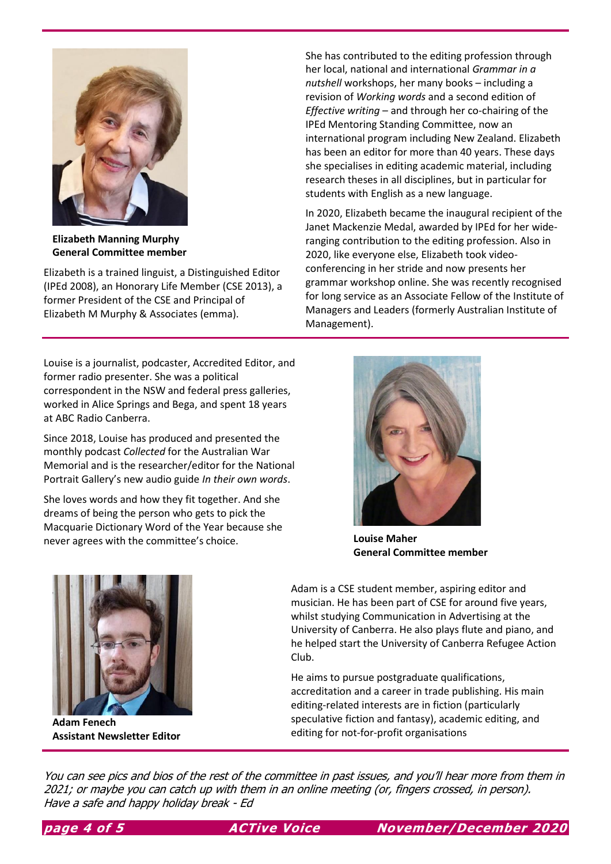

**Elizabeth Manning Murphy General Committee member**

Elizabeth is a trained linguist, a Distinguished Editor (IPEd 2008), an Honorary Life Member (CSE 2013), a former President of the CSE and Principal of Elizabeth M Murphy & Associates (emma).

Louise is a journalist, podcaster, Accredited Editor, and former radio presenter. She was a political correspondent in the NSW and federal press galleries, worked in Alice Springs and Bega, and spent 18 years at ABC Radio Canberra.

Since 2018, Louise has produced and presented the monthly podcast *Collected* for the Australian War Memorial and is the researcher/editor for the National Portrait Gallery's new audio guide *In their own words*.

She loves words and how they fit together. And she dreams of being the person who gets to pick the Macquarie Dictionary Word of the Year because she never agrees with the committee's choice. **Louise Maher**

She has contributed to the editing profession through her local, national and international *Grammar in a nutshell* workshops, her many books – including a revision of *Working words* and a second edition of *Effective writing* – and through her co-chairing of the IPEd Mentoring Standing Committee, now an international program including New Zealand. Elizabeth has been an editor for more than 40 years. These days she specialises in editing academic material, including research theses in all disciplines, but in particular for students with English as a new language.

In 2020, Elizabeth became the inaugural recipient of the Janet Mackenzie Medal, awarded by IPEd for her wideranging contribution to the editing profession. Also in 2020, like everyone else, Elizabeth took videoconferencing in her stride and now presents her grammar workshop online. She was recently recognised for long service as an Associate Fellow of the Institute of Managers and Leaders (formerly Australian Institute of Management).



**General Committee member**



**Adam Fenech Assistant Newsletter Editor**

Adam is a CSE student member, aspiring editor and musician. He has been part of CSE for around five years, whilst studying Communication in Advertising at the University of Canberra. He also plays flute and piano, and he helped start the University of Canberra Refugee Action Club.

He aims to pursue postgraduate qualifications, accreditation and a career in trade publishing. His main editing-related interests are in fiction (particularly speculative fiction and fantasy), academic editing, and editing for not-for-profit organisations

You can see pics and bios of the rest of the committee in past issues, and you'll hear more from them in 2021; or maybe you can catch up with them in an online meeting (or, fingers crossed, in person). Have a safe and happy holiday break - Ed